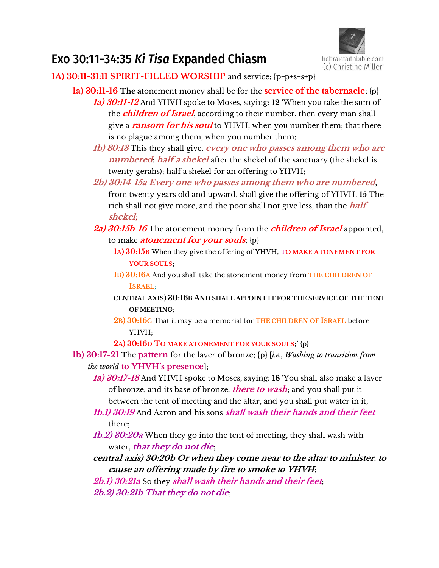

# Exo 30:11-34:35 *Ki Tisa* Expanded Chiasm

**1A) 30:11-31:11 SPIRIT-FILLED WORSHIP** and service; {p+p+s+s+p}

- **1a) 30:11-16 The a**tonement money shall be for the **service of the tabernacle**; {p} **1a) 30:11-12** And YHVH spoke to Moses, saying: **12** 'When you take the sum of the **children of Israel**, according to their number, then every man shall give a **ransom for his soul** to YHVH, when you number them; that there is no plague among them, when you number them;
	- **1b) 30:13** This they shall give, **every one who passes among them who are numbered**: **half a shekel** after the shekel of the sanctuary (the shekel is twenty gerahs); half a shekel for an offering to YHVH;
	- **2b) 30:14-15a Every one who passes among them who are numbered**, from twenty years old and upward, shall give the offering of YHVH. **15** The rich shall not give more, and the poor shall not give less, than the **half shekel**;
	- **2a) 30:15b-16** The atonement money from the **children of Israel** appointed, to make **atonement for your souls**; {p}
		- **1A) 30:15B** When they give the offering of YHVH, **TO MAKE ATONEMENT FOR YOUR SOULS**;
		- **1B) 30:16A** And you shall take the atonement money from **THE CHILDREN OF ISRAEL**;
		- **CENTRAL AXIS) 30:16B AND SHALL APPOINT IT FOR THE SERVICE OF THE TENT OF MEETING**;
		- **2B) 30:16C** That it may be a memorial for **THE CHILDREN OF ISRAEL** before YHVH;
		- **2A) 30:16D TO MAKE ATONEMENT FOR YOUR SOULS**;' {p}
- **1b) 30:17-21** The **pattern** for the laver of bronze; {p} [*i.e., Washing to transition from the world* **to YHVH's presence**];
	- **1a) 30:17-18** And YHVH spoke to Moses, saying: **18** 'You shall also make a laver of bronze, and its base of bronze, **there to wash**; and you shall put it between the tent of meeting and the altar, and you shall put water in it;
	- **1b.1) 30:19** And Aaron and his sons **shall wash their hands and their feet** there;
	- **1b.2) 30:20a** When they go into the tent of meeting, they shall wash with water, **that they do not die**;
	- **central axis) 30:20b Or when they come near to the altar to minister**, **to cause an offering made by fire to smoke to YHVH;**
	- **2b.1) 30:21a** So they **shall wash their hands and their feet**; **2b.2) 30:21b That they do not die**;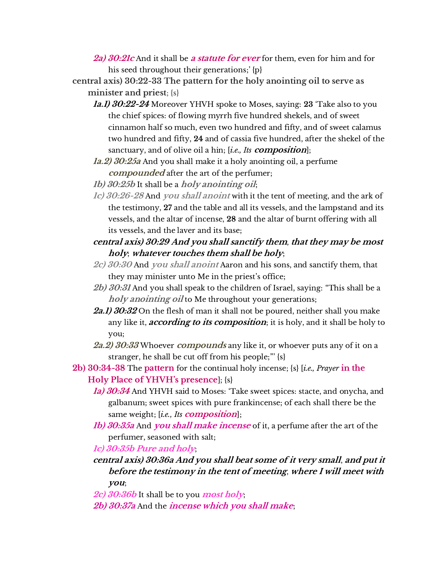- **2a) 30:21c** And it shall be **a statute for ever** for them, even for him and for his seed throughout their generations;' {p}
- **central axis) 30:22-33 The pattern for the holy anointing oil to serve as minister and priest**; {s}
	- **1a.1) 30:22-24** Moreover YHVH spoke to Moses, saying: **23** 'Take also to you the chief spices: of flowing myrrh five hundred shekels, and of sweet cinnamon half so much, even two hundred and fifty, and of sweet calamus two hundred and fifty, **24** and of cassia five hundred, after the shekel of the sanctuary, and of olive oil a hin; [*i.e., Its* **composition**];
	- **1a.2) 30:25a** And you shall make it a holy anointing oil, a perfume **compounded** after the art of the perfumer;
	- **1b) 30:25b** It shall be a **holy anointing oil**;
	- **1c) 30:26-28** And **you shall anoint** with it the tent of meeting, and the ark of the testimony, **27** and the table and all its vessels, and the lampstand and its vessels, and the altar of incense, **28** and the altar of burnt offering with all its vessels, and the laver and its base;
	- **central axis) 30:29 And you shall sanctify them**, **that they may be most holy**; **whatever touches them shall be holy**;
	- **2c) 30:30** And **you shall anoint** Aaron and his sons, and sanctify them, that they may minister unto Me in the priest's office;
	- **2b) 30:31** And you shall speak to the children of Israel, saying: "This shall be a **holy anointing oil** to Me throughout your generations;
	- **2a.1) 30:32** On the flesh of man it shall not be poured, neither shall you make any like it, **according to its composition**; it is holy, and it shall be holy to you;
	- **2a.2) 30:33** Whoever **compounds** any like it, or whoever puts any of it on a stranger, he shall be cut off from his people;"' {s}
- **2b) 30:34-38** The **pattern** for the continual holy incense; {s} [*i.e., Prayer* **in the Holy Place of YHVH's presence**]; {s}
	- **1a) 30:34** And YHVH said to Moses: 'Take sweet spices: stacte, and onycha, and galbanum; sweet spices with pure frankincense; of each shall there be the same weight; [*i.e., Its* **composition**];
	- **1b) 30:35a** And **you shall make incense** of it, a perfume after the art of the perfumer, seasoned with salt;

**1c) 30:35b Pure and holy**;

- **central axis) 30:36a And you shall beat some of it very small**, **and put it before the testimony in the tent of meeting**, **where I will meet with you**;
- **2c) 30:36b** It shall be to you **most holy**;
- **2b) 30:37a** And the **incense which you shall make**;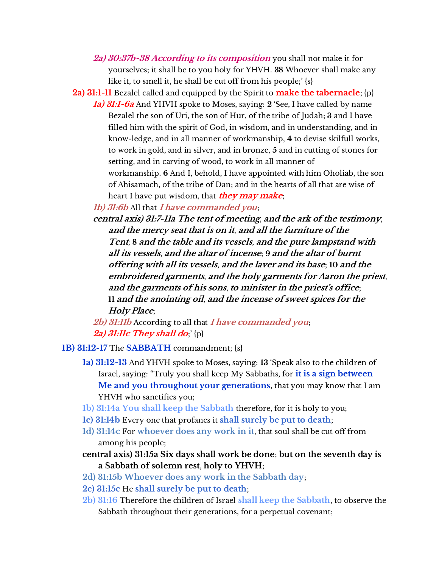- **2a) 30:37b-38 According to its composition** you shall not make it for yourselves; it shall be to you holy for YHVH. **38** Whoever shall make any like it, to smell it, he shall be cut off from his people;' {s}
- **2a) 31:1-11** Bezalel called and equipped by the Spirit to **make the tabernacle**; {p}
	- **1a) 31:1-6a** And YHVH spoke to Moses, saying: **2** 'See, I have called by name Bezalel the son of Uri, the son of Hur, of the tribe of Judah; **3** and I have filled him with the spirit of God, in wisdom, and in understanding, and in know-ledge, and in all manner of workmanship, **4** to devise skilfull works, to work in gold, and in silver, and in bronze, **5** and in cutting of stones for setting, and in carving of wood, to work in all manner of workmanship. **6** And I, behold, I have appointed with him Oholiab, the son of Ahisamach, of the tribe of Dan; and in the hearts of all that are wise of heart I have put wisdom, that **they may make**;

**1b) 31:6b** All that **I have commanded you**;

**central axis) 31:7-11a The tent of meeting**, **and the ark of the testimony**, **and the mercy seat that is on it**, **and all the furniture of the Tent**; **8 and the table and its vessels**, **and the pure lampstand with all its vessels**, **and the altar of incense**; **9 and the altar of burnt offering with all its vessels**, **and the laver and its base**; **10 and the embroidered garments**, **and the holy garments for Aaron the priest**, **and the garments of his sons**, **to minister in the priest's office**; **11 and the anointing oil**, **and the incense of sweet spices for the Holy Place**;

**2b) 31:11b** According to all that **I have commanded you**; **2a) 31:11c They shall do**;' {p}

- **1B) 31:12-17** The **SABBATH** commandment; {s}
	- **1a) 31:12-13** And YHVH spoke to Moses, saying: **13** 'Speak also to the children of Israel, saying: "Truly you shall keep My Sabbaths, for **it is a sign between Me and you throughout your generations**, that you may know that I am YHVH who sanctifies you;
	- **1b) 31:14a You shall keep the Sabbath** therefore, for it is holy to you;
	- **1c) 31:14b** Every one that profanes it **shall surely be put to death**;
	- **1d) 31:14c** For **whoever does any work in it**, that soul shall be cut off from among his people;
	- **central axis) 31:15a Six days shall work be done**; **but on the seventh day is a Sabbath of solemn rest**, **holy to YHVH**;
	- **2d) 31:15b Whoever does any work in the Sabbath day**;
	- **2c) 31:15c** He **shall surely be put to death**;
	- **2b) 31:16** Therefore the children of Israel **shall keep the Sabbath**, to observe the Sabbath throughout their generations, for a perpetual covenant;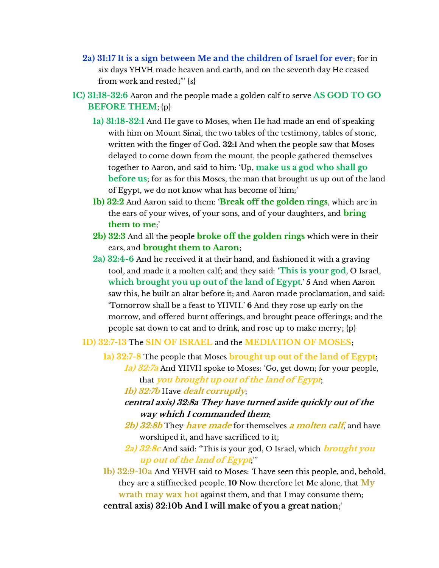- **2a) 31:17 It is a sign between Me and the children of Israel for ever**; for in six days YHVH made heaven and earth, and on the seventh day He ceased from work and rested;"' {s}
- **1C) 31:18-32:6** Aaron and the people made a golden calf to serve **AS GOD TO GO BEFORE THEM**; {p}
	- **1a) 31:18-32:1** And He gave to Moses, when He had made an end of speaking with him on Mount Sinai, the two tables of the testimony, tables of stone, written with the finger of God. **32:1** And when the people saw that Moses delayed to come down from the mount, the people gathered themselves together to Aaron, and said to him: 'Up, **make us a god who shall go before us**; for as for this Moses, the man that brought us up out of the land of Egypt, we do not know what has become of him;'
	- **1b) 32:2** And Aaron said to them: '**Break off the golden rings**, which are in the ears of your wives, of your sons, and of your daughters, and **bring them to me**;'
	- **2b) 32:3** And all the people **broke off the golden rings** which were in their ears, and **brought them to Aaron**;
	- **2a) 32:4-6** And he received it at their hand, and fashioned it with a graving tool, and made it a molten calf; and they said: '**This is your god**, O Israel, **which brought you up out of the land of Egypt**.' **5** And when Aaron saw this, he built an altar before it; and Aaron made proclamation, and said: 'Tomorrow shall be a feast to YHVH.' **6** And they rose up early on the morrow, and offered burnt offerings, and brought peace offerings; and the people sat down to eat and to drink, and rose up to make merry; {p}
	- **1D) 32:7-13** The **SIN OF ISRAEL** and the **MEDIATION OF MOSES**;
		- **1a) 32:7-8** The people that Moses **brought up out of the land of Egypt**; **1a) 32:7a** And YHVH spoke to Moses: 'Go, get down; for your people, that **you brought up out of the land of Egypt**;
			- **1b) 32:7b** Have **dealt corruptly**;
			- **central axis) 32:8a They have turned aside quickly out of the way which I commanded them**;
			- **2b) 32:8b** They **have made** for themselves **a molten calf**, and have worshiped it, and have sacrificed to it;
			- **2a) 32:8c** And said: "This is your god, O Israel, which **brought you up out of the land of Egypt**;"'
		- **1b) 32:9-10a** And YHVH said to Moses: 'I have seen this people, and, behold, they are a stiffnecked people. **10** Now therefore let Me alone, that **My wrath may wax hot** against them, and that I may consume them; **central axis) 32:10b And I will make of you a great nation**;'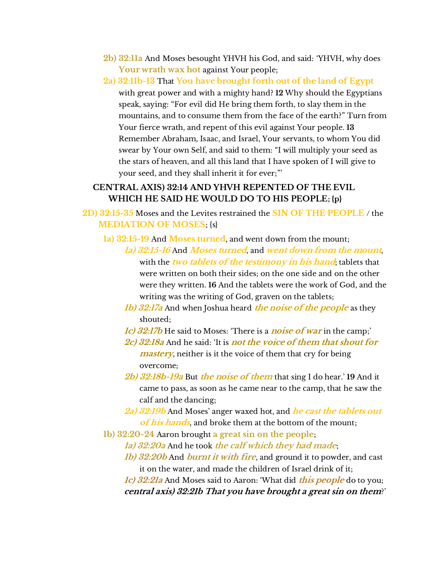- **2b) 32:11a** And Moses besought YHVH his God, and said: 'YHVH, why does **Your wrath wax hot** against Your people;
- **2a) 32:11b-13** That **You have brought forth out of the land of Egypt** with great power and with a mighty hand? **12** Why should the Egyptians speak, saying: "For evil did He bring them forth, to slay them in the mountains, and to consume them from the face of the earth?" Turn from Your fierce wrath, and repent of this evil against Your people. **13** Remember Abraham, Isaac, and Israel, Your servants, to whom You did swear by Your own Self, and said to them: "I will multiply your seed as the stars of heaven, and all this land that I have spoken of I will give to your seed, and they shall inherit it for ever;"'

## **CENTRAL AXIS) 32:14 AND YHVH REPENTED OF THE EVIL WHICH HE SAID HE WOULD DO TO HIS PEOPLE; {p}**

- **2D) 32:15-35** Moses and the Levites restrained the **SIN OF THE PEOPLE** / the **MEDIATION OF MOSES**; {s}
	- **1a) 32:15-19** And **Moses turned**, and went down from the mount;
		- **1a) 32:15-16** And **Moses turned**, and **went down from the mount**, with the **two tablets of the testimony in his hand**; tablets that were written on both their sides; on the one side and on the other were they written. **16** And the tablets were the work of God, and the writing was the writing of God, graven on the tablets;
		- **1b) 32:17a** And when Joshua heard **the noise of the people** as they shouted;
		- **1c) 32:17b** He said to Moses: 'There is a **noise of war** in the camp;'
		- **2c) 32:18a** And he said: 'It is **not the voice of them that shout for mastery**, neither is it the voice of them that cry for being overcome;
		- **2b) 32:18b-19a** But **the noise of them** that sing I do hear.' **19** And it came to pass, as soon as he came near to the camp, that he saw the calf and the dancing;
		- **2a) 32:19b** And Moses' anger waxed hot, and *he cast the tablets out* **of his hands**, and broke them at the bottom of the mount;
	- **1b) 32:20-24** Aaron brought **a great sin on the people**;
		- **1a) 32:20a** And he took **the calf which they had made**;
		- **1b) 32:20b** And **burnt it with fire**, and ground it to powder, and cast it on the water, and made the children of Israel drink of it;

**1c) 32:21a** And Moses said to Aaron: 'What did **this people** do to you; **central axis) 32:21b That you have brought a great sin on them**?'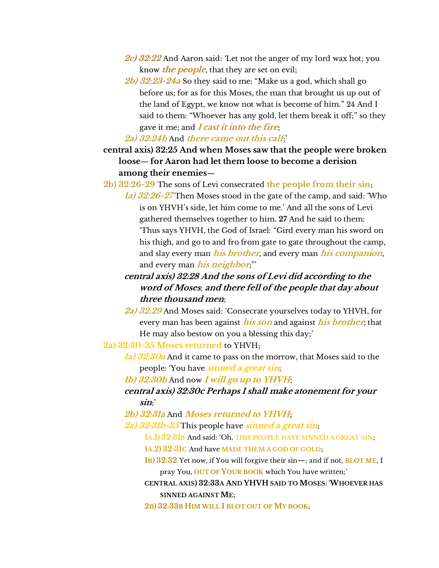- **2c) 32:22** And Aaron said: 'Let not the anger of my lord wax hot; you know **the people**, that they are set on evil;
- **2b) 32:23-24a** So they said to me: "Make us a god, which shall go before us; for as for this Moses, the man that brought us up out of the land of Egypt, we know not what is become of him." 24 And I said to them: "Whoever has any gold, let them break it off;" so they gave it me; and **I cast it into the fire**;

#### **2a) 32:24b** And **there came out this calf**;'

- **central axis) 32:25 And when Moses saw that the people were broken loose**— **for Aaron had let them loose to become a derision among their enemies**—
- **2b) 32:26-29** The sons of Levi consecrated **the people from their sin**;
	- **1a) 32:26-27** Then Moses stood in the gate of the camp, and said: 'Who is on YHVH's side, let him come to me.' And all the sons of Levi gathered themselves together to him. **27** And he said to them: 'Thus says YHVH, the God of Israel: "Gird every man his sword on his thigh, and go to and fro from gate to gate throughout the camp, and slay every man **his brother**, and every man **his companion**, and every man **his neighbor**;"'
	- **central axis) 32:28 And the sons of Levi did according to the word of Moses**; **and there fell of the people that day about three thousand men**;
	- **2a) 32:29** And Moses said: 'Consecrate yourselves today to YHVH, for every man has been against **his son** and against **his brother**; that He may also bestow on you a blessing this day;'

**2a) 32:30-35 Moses returned** to YHVH;

- **1a) 32:30a** And it came to pass on the morrow, that Moses said to the people: 'You have **sinned a great sin**;
- **1b) 32:30b** And now **I will go up to YHVH**;
- **central axis) 32:30c Perhaps I shall make atonement for your sin**;'
- **2b) 32:31a** And **Moses returned to YHVH**;
- **2a) 32:31b-35** This people have **sinned a great sin**;
	- **1A.1) 32:31B** And said: 'Oh, **THIS PEOPLE HAVE SINNED A GREAT SIN**;
	- **1A.2) 32:31C** And have **MADE THEM A GOD OF GOLD**;
	- **1B) 32:32** Yet now, if You will forgive their sin—; and if not, **BLOT ME**, I pray You, **OUT OF YOUR BOOK** which You have written;'
	- **CENTRAL AXIS) 32:33A AND YHVH SAID TO MOSES**: '**WHOEVER HAS SINNED AGAINST ME**;
	- **2B) 32:33B HIM WILL I BLOT OUT OF MY BOOK**;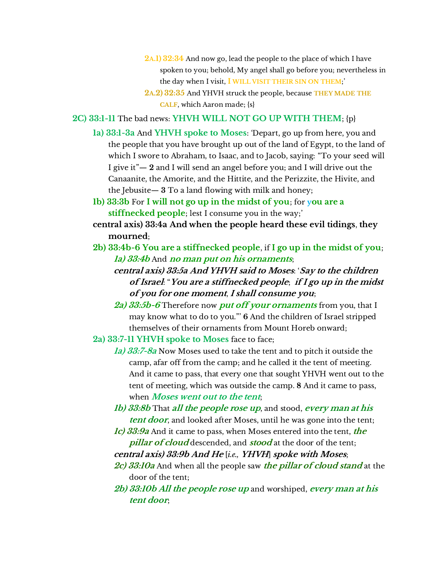- **2A.1) 32:34** And now go, lead the people to the place of which I have spoken to you; behold, My angel shall go before you; nevertheless in the day when I visit, **I WILL VISIT THEIR SIN ON THEM**;'
- **2A.2) 32:35** And YHVH struck the people, because **THEY MADE THE CALF**, which Aaron made; {s}
- **2C) 33:1-11** The bad news: **YHVH WILL NOT GO UP WITH THEM**; {p}
	- **1a) 33:1-3a** And **YHVH spoke to Moses**: 'Depart, go up from here, you and the people that you have brought up out of the land of Egypt, to the land of which I swore to Abraham, to Isaac, and to Jacob, saying: "To your seed will I give it"— **2** and I will send an angel before you; and I will drive out the Canaanite, the Amorite, and the Hittite, and the Perizzite, the Hivite, and the Jebusite— **3** To a land flowing with milk and honey;
	- **1b) 33:3b** For **I will not go up in the midst of you**; for **you are a stiffnecked people**; lest I consume you in the way;'
	- **central axis) 33:4a And when the people heard these evil tidings**, **they mourned**;
	- **2b) 33:4b-6 You are a stiffnecked people**, if **I go up in the midst of you**; **1a) 33:4b** And **no man put on his ornaments**;
		- **central axis) 33:5a And YHVH said to Moses**: '**Say to the children of Israel**: "**You are a stiffnecked people**; **if I go up in the midst of you for one moment**, **I shall consume you**;
		- **2a) 33:5b-6** Therefore now **put off your ornaments** from you, that I may know what to do to you."' **6** And the children of Israel stripped themselves of their ornaments from Mount Horeb onward;
	- **2a) 33:7-11 YHVH spoke to Moses** face to face;
		- **1a) 33:7-8a** Now Moses used to take the tent and to pitch it outside the camp, afar off from the camp; and he called it the tent of meeting. And it came to pass, that every one that sought YHVH went out to the tent of meeting, which was outside the camp. **8** And it came to pass, when **Moses went out to the tent**;
		- **1b) 33:8b** That **all the people rose up**, and stood, **every man at his tent door**, and looked after Moses, until he was gone into the tent;
		- **1c) 33:9a** And it came to pass, when Moses entered into the tent, **the pillar of cloud** descended, and **stood** at the door of the tent; **central axis) 33:9b And He** [*i.e.,* **YHVH**] **spoke with Moses**;
		- **2c) 33:10a** And when all the people saw **the pillar of cloud stand** at the door of the tent;
		- **2b) 33:10b All the people rose up** and worshiped, **every man at his tent door**;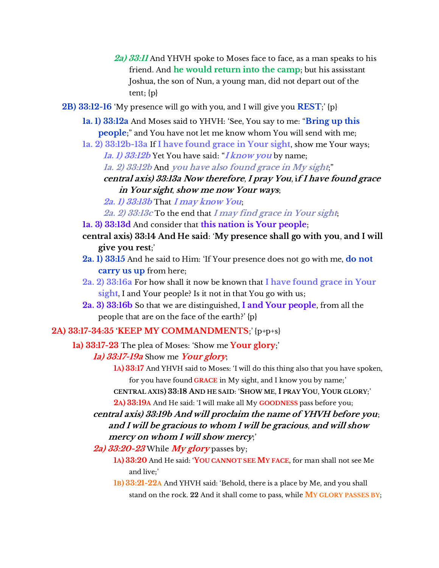- **2a) 33:11** And YHVH spoke to Moses face to face, as a man speaks to his friend. And **he would return into the camp**; but his assisstant Joshua, the son of Nun, a young man, did not depart out of the tent; {p}
- **2B) 33:12-16** 'My presence will go with you, and I will give you **REST**;' {p}
	- **1a. 1) 33:12a** And Moses said to YHVH: 'See, You say to me: "**Bring up this people**;" and You have not let me know whom You will send with me;
	- **1a. 2) 33:12b-13a** If **I have found grace in Your sight**, show me Your ways;
		- **1a. 1) 33:12b** Yet You have said: "**I know you** by name;
		- **1a. 2) 33:12b** And **you have also found grace in My sight**;"
		- **central axis) 33:13a Now therefore**, **I pray You**, **if I have found grace in Your sight**, **show me now Your ways**;
		- **2a. 1) 33:13b** That **I may know You**;
		- **2a. 2) 33:13c** To the end that **I may find grace in Your sight**;
	- **1a. 3) 33:13d** And consider that **this nation is Your people**;
	- **central axis) 33:14 And He said**: '**My presence shall go with you**, **and I will give you rest**;'
	- **2a. 1) 33:15** And he said to Him: 'If Your presence does not go with me, **do not carry us up** from here;
	- **2a. 2) 33:16a** For how shall it now be known that **I have found grace in Your sight**, I and Your people? Is it not in that You go with us;
	- **2a. 3) 33:16b** So that we are distinguished, **I and Your people**, from all the people that are on the face of the earth?' {p}

### **2A) 33:17-34:35** '**KEEP MY COMMANDMENTS**;' {p+p+s}

- **1a) 33:17-23** The plea of Moses: 'Show me **Your glory**;'
	- **1a) 33:17-19a** Show me **Your glory**;
		- **1A) 33:17** And YHVH said to Moses: 'I will do this thing also that you have spoken, for you have found **GRACE** in My sight, and I know you by name;'
		- **CENTRAL AXIS) 33:18 AND HE SAID**: '**SHOW ME**, **I PRAY YOU**, **YOUR GLORY**;'

**2A) 33:19A** And He said: 'I will make all My **GOODNESS** pass before you;

- **central axis) 33:19b And will proclaim the name of YHVH before you**; **and I will be gracious to whom I will be gracious**, **and will show mercy on whom I will show mercy**;'
- **2a) 33:20-23** While **My glory** passes by;
	- **1A) 33:20** And He said: '**YOU CANNOT SEE MY FACE**, for man shall not see Me and live;'
	- **1B) 33:21-22A** And YHVH said: 'Behold, there is a place by Me, and you shall stand on the rock. **22** And it shall come to pass, while **MY GLORY PASSES BY**;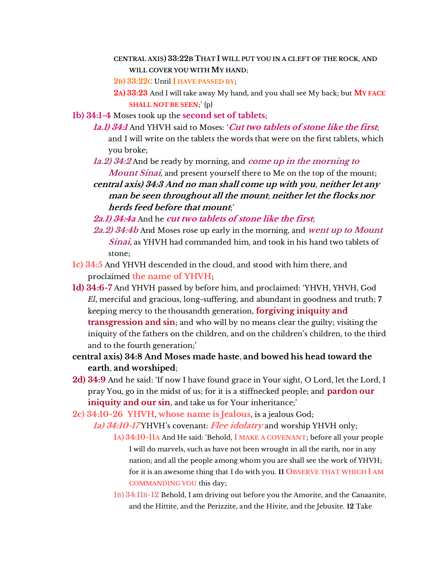#### **CENTRAL AXIS) 33:22B THAT I WILL PUT YOU IN A CLEFT OF THE ROCK**, **AND WILL COVER YOU WITH MY HAND**;

**2B) 33:22C** Until **I HAVE PASSED BY**;

- **2A) 33:23** And I will take away My hand, and you shall see My back; but **MY FACE SHALL NOT BE SEEN**;' {p}
- **1b) 34:1-4** Moses took up the **second set of tablets**;
	- **1a.1) 34:1** And YHVH said to Moses: '**Cut two tablets of stone like the first**; and I will write on the tablets the words that were on the first tablets, which you broke;
	- **1a.2) 34:2** And be ready by morning, and **come up in the morning to Mount Sinai**, and present yourself there to Me on the top of the mount;

**central axis) 34:3 And no man shall come up with you**, **neither let any man be seen throughout all the mount**; **neither let the flocks nor herds feed before that mount**;'

- **2a.1) 34:4a** And he **cut two tablets of stone like the first**;
- **2a.2) 34:4b** And Moses rose up early in the morning, and **went up to Mount Sinai**, as YHVH had commanded him, and took in his hand two tablets of stone;
- **1c) 34:5** And YHVH descended in the cloud, and stood with him there, and proclaimed **the name of YHVH**;
- **1d) 34:6-7** And YHVH passed by before him, and proclaimed: 'YHVH, YHVH, God *El*, merciful and gracious, long-suffering, and abundant in goodness and truth; **7** keeping mercy to the thousandth generation, **forgiving iniquity and transgression and sin**; and who will by no means clear the guilty; visiting the iniquity of the fathers on the children, and on the children's children, to the third and to the fourth generation;'
- **central axis) 34:8 And Moses made haste**, **and bowed his head toward the earth**, **and worshiped**;
- **2d) 34:9** And he said: 'If now I have found grace in Your sight, O Lord, let the Lord, I pray You, go in the midst of us; for it is a stiffnecked people; and **pardon our iniquity and our sin**, and take us for Your inheritance;'
- **2c) 34:10-26 YHVH**, **whose name is Jealous**, is a jealous God;

**1a) 34:10-17** YHVH's covenant: Flee idolatry and worship YHVH only;

- **1A) 34:10-11A** And He said: 'Behold, **I MAKE A COVENANT**; before all your people I will do marvels, such as have not been wrought in all the earth, nor in any nation; and all the people among whom you are shall see the work of YHVH; for it is an awesome thing that I do with you. **11 OBSERVE THAT WHICH I AM COMMANDING YOU** this day;
- **1B) 34:11B-12** Behold, I am driving out before you the Amorite, and the Canaanite, and the Hittite, and the Perizzite, and the Hivite, and the Jebusite. **12** Take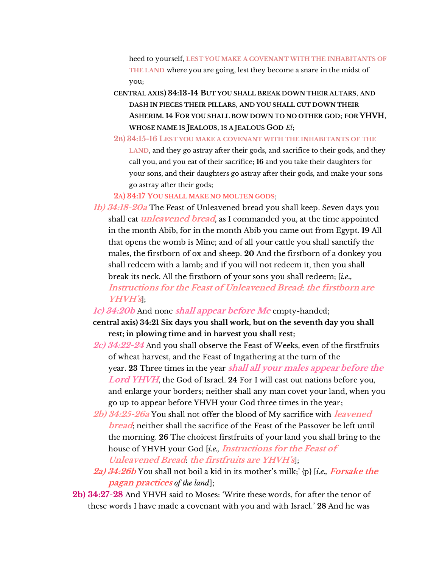heed to yourself, **LEST YOU MAKE A COVENANT WITH THE INHABITANTS OF THE LAND** where you are going, lest they become a snare in the midst of you;

**CENTRAL AXIS) 34:13-14 BUT YOU SHALL BREAK DOWN THEIR ALTARS**, **AND DASH IN PIECES THEIR PILLARS, AND YOU SHALL CUT DOWN THEIR ASHERIM. 14 FOR YOU SHALL BOW DOWN TO NO OTHER GOD**; **FOR YHVH**, **WHOSE NAME IS JEALOUS**, **IS A JEALOUS GOD** *El*;

**2B) 34:15-16 LEST YOU MAKE A COVENANT WITH THE INHABITANTS OF THE LAND**, and they go astray after their gods, and sacrifice to their gods, and they call you, and you eat of their sacrifice; **16** and you take their daughters for your sons, and their daughters go astray after their gods, and make your sons go astray after their gods;

**2A) 34:17 YOU SHALL MAKE NO MOLTEN GODS**;

- **1b) 34:18-20a** The Feast of Unleavened bread you shall keep. Seven days you shall eat **unleavened bread**, as I commanded you, at the time appointed in the month Abib, for in the month Abib you came out from Egypt. **19** All that opens the womb is Mine; and of all your cattle you shall sanctify the males, the firstborn of ox and sheep. **20** And the firstborn of a donkey you shall redeem with a lamb; and if you will not redeem it, then you shall break its neck. All the firstborn of your sons you shall redeem; [*i.e.,* **Instructions for the Feast of Unleavened Bread**: **the firstborn are YHVH's**];
- **1c) 34:20b** And none **shall appear before Me** empty-handed;

**central axis) 34:21 Six days you shall work, but on the seventh day you shall rest; in plowing time and in harvest you shall rest;**

- **2c) 34:22-24** And you shall observe the Feast of Weeks, even of the firstfruits of wheat harvest, and the Feast of Ingathering at the turn of the year. **23** Three times in the year **shall all your males appear before the Lord YHVH**, the God of Israel. **24** For I will cast out nations before you, and enlarge your borders; neither shall any man covet your land, when you go up to appear before YHVH your God three times in the year;
- **2b) 34:25-26a** You shall not offer the blood of My sacrifice with **leavened bread**; neither shall the sacrifice of the Feast of the Passover be left until the morning. **26** The choicest firstfruits of your land you shall bring to the house of YHVH your God [*i.e.,* **Instructions for the Feast of Unleavened Bread**: **the firstfruits are YHVH's**];
- **2a) 34:26b** You shall not boil a kid in its mother's milk;' {p} [*i.e., Forsake the* **pagan practices** *of the land*];
- **2b) 34:27-28** And YHVH said to Moses: 'Write these words, for after the tenor of these words I have made a covenant with you and with Israel.' **28** And he was